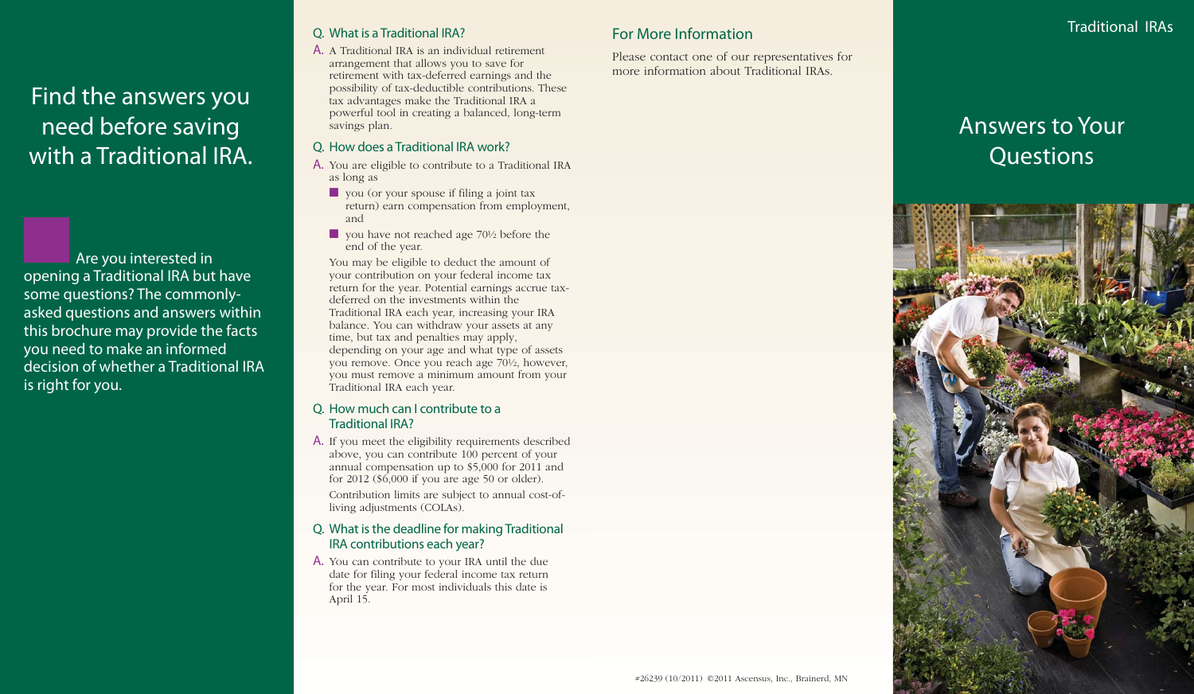Find the answers you need before saving with a Traditional IRA.

Are you interested in opening a Traditional IRA but have some questions? The commonlyasked questions and answers within this brochure may provide the facts you need to make an informed decision of whether a Traditional IRA is right for you.

## Q. What is a Traditional IRA?

A. A Traditional IRA is an individual retirement arrangement that allows you to save for retirement with tax-deferred earnings and the possibility of tax-deductible contributions. These tax advantages make the Traditional IRA a powerful tool in creating a balanced, long-term savings plan.

#### Q. How does a Traditional IRA work?

- A. You are eligible to contribute to a Traditional IRA as long as
	- you (or your spouse if filing a joint tax return) earn compensation from employment, and
	- you have not reached age 70½ before the end of the year.

You may be eligible to deduct the amount of your contribution on your federal income tax return for the year. Potential earnings accrue taxdeferred on the investments within the Traditional IRA each year, increasing your IRA balance. You can withdraw your assets at any time, but tax and penalties may apply, depending on your age and what type of assets you remove. Once you reach age 70½, however, you must remove a minimum amount from your Traditional IRA each year.

#### Q. How much can I contribute to a Traditional IRA?

A. If you meet the eligibility requirements described above, you can contribute 100 percent of your annual compensation up to \$5,000 for 2011 and for 2012 (\$6,000 if you are age 50 or older).

Contribution limits are subject to annual cost-ofliving adjustments (COLAs).

#### Q. What is the deadline for making Traditional IRA contributions each year?

A. You can contribute to your IRA until the due date for filing your federal income tax return for the year. For most individuals this date is April 15.

# For More Information

Please contact one of our representatives for more information about Traditional IRAs.



Traditional IRAs